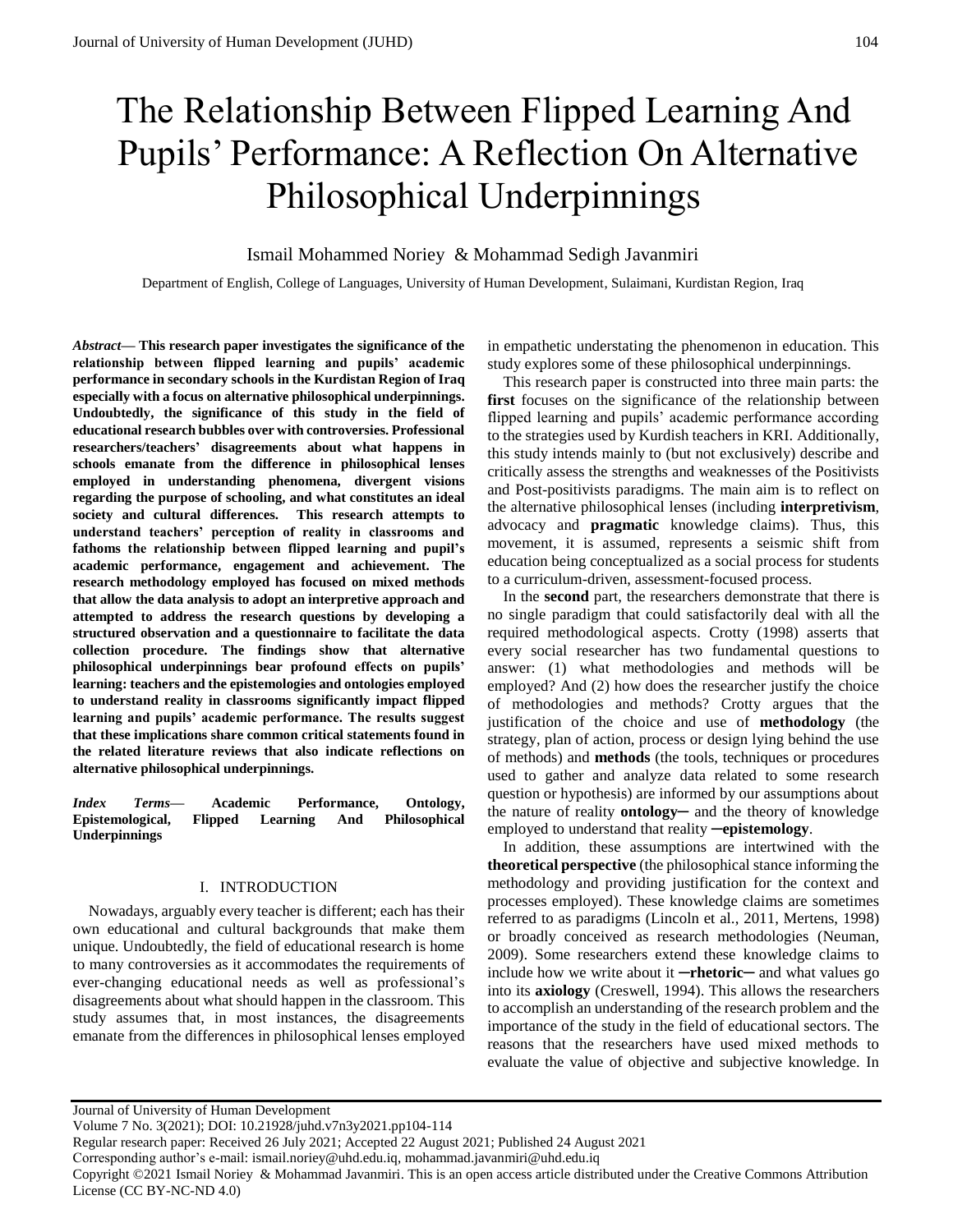# The Relationship Between Flipped Learning And Pupils' Performance: A Reflection On Alternative Philosophical Underpinnings

# Ismail Mohammed Noriey & Mohammad Sedigh Javanmiri

Department of English, College of Languages, University of Human Development, Sulaimani, Kurdistan Region, Iraq

*Abstract—* **This research paper investigates the significance of the relationship between flipped learning and pupils' academic performance in secondary schools in the Kurdistan Region of Iraq especially with a focus on alternative philosophical underpinnings. Undoubtedly, the significance of this study in the field of educational research bubbles over with controversies. Professional researchers/teachers' disagreements about what happens in schools emanate from the difference in philosophical lenses employed in understanding phenomena, divergent visions regarding the purpose of schooling, and what constitutes an ideal society and cultural differences. This research attempts to understand teachers' perception of reality in classrooms and fathoms the relationship between flipped learning and pupil's academic performance, engagement and achievement. The research methodology employed has focused on mixed methods that allow the data analysis to adopt an interpretive approach and attempted to address the research questions by developing a structured observation and a questionnaire to facilitate the data collection procedure. The findings show that alternative philosophical underpinnings bear profound effects on pupils' learning: teachers and the epistemologies and ontologies employed to understand reality in classrooms significantly impact flipped learning and pupils' academic performance. The results suggest that these implications share common critical statements found in the related literature reviews that also indicate reflections on alternative philosophical underpinnings.**

*Index Terms***— Academic Performance, Ontology, Epistemological, Flipped Learning And Philosophical Underpinnings**

#### I. INTRODUCTION

Nowadays, arguably every teacher is different; each has their own educational and cultural backgrounds that make them unique. Undoubtedly, the field of educational research is home to many controversies as it accommodates the requirements of ever-changing educational needs as well as professional's disagreements about what should happen in the classroom. This study assumes that, in most instances, the disagreements emanate from the differences in philosophical lenses employed

in empathetic understating the phenomenon in education. This study explores some of these philosophical underpinnings.

This research paper is constructed into three main parts: the **first** focuses on the significance of the relationship between flipped learning and pupils' academic performance according to the strategies used by Kurdish teachers in KRI. Additionally, this study intends mainly to (but not exclusively) describe and critically assess the strengths and weaknesses of the Positivists and Post-positivists paradigms. The main aim is to reflect on the alternative philosophical lenses (including **interpretivism**, advocacy and **pragmatic** knowledge claims). Thus, this movement, it is assumed, represents a seismic shift from education being conceptualized as a social process for students to a curriculum-driven, assessment-focused process.

In the **second** part, the researchers demonstrate that there is no single paradigm that could satisfactorily deal with all the required methodological aspects. Crotty (1998) asserts that every social researcher has two fundamental questions to answer: (1) what methodologies and methods will be employed? And (2) how does the researcher justify the choice of methodologies and methods? Crotty argues that the justification of the choice and use of **methodology** (the strategy, plan of action, process or design lying behind the use of methods) and **methods** (the tools, techniques or procedures used to gather and analyze data related to some research question or hypothesis) are informed by our assumptions about the nature of reality **ontology**— and the theory of knowledge employed to understand that reality ─**epistemology**.

In addition, these assumptions are intertwined with the **theoretical perspective** (the philosophical stance informing the methodology and providing justification for the context and processes employed). These knowledge claims are sometimes referred to as paradigms (Lincoln et al., 2011, Mertens, 1998) or broadly conceived as research methodologies (Neuman, 2009). Some researchers extend these knowledge claims to include how we write about it ─**rhetoric**─ and what values go into its **axiology** (Creswell, 1994). This allows the researchers to accomplish an understanding of the research problem and the importance of the study in the field of educational sectors. The reasons that the researchers have used mixed methods to evaluate the value of objective and subjective knowledge. In

Journal of University of Human Development

Volume 7 No. 3(2021); DOI: 10.21928/juhd.v7n3y2021.pp104-114

Regular research paper: Received 26 July 2021; Accepted 22 August 2021; Published 24 August 2021

Corresponding author's e-mail: ismail.noriey@uhd.edu.iq, mohammad.javanmiri@uhd.edu.iq

Copyright ©2021 Ismail Noriey & Mohammad Javanmiri. This is an open access article distributed under the Creative Commons Attribution License (CC BY-NC-ND 4.0)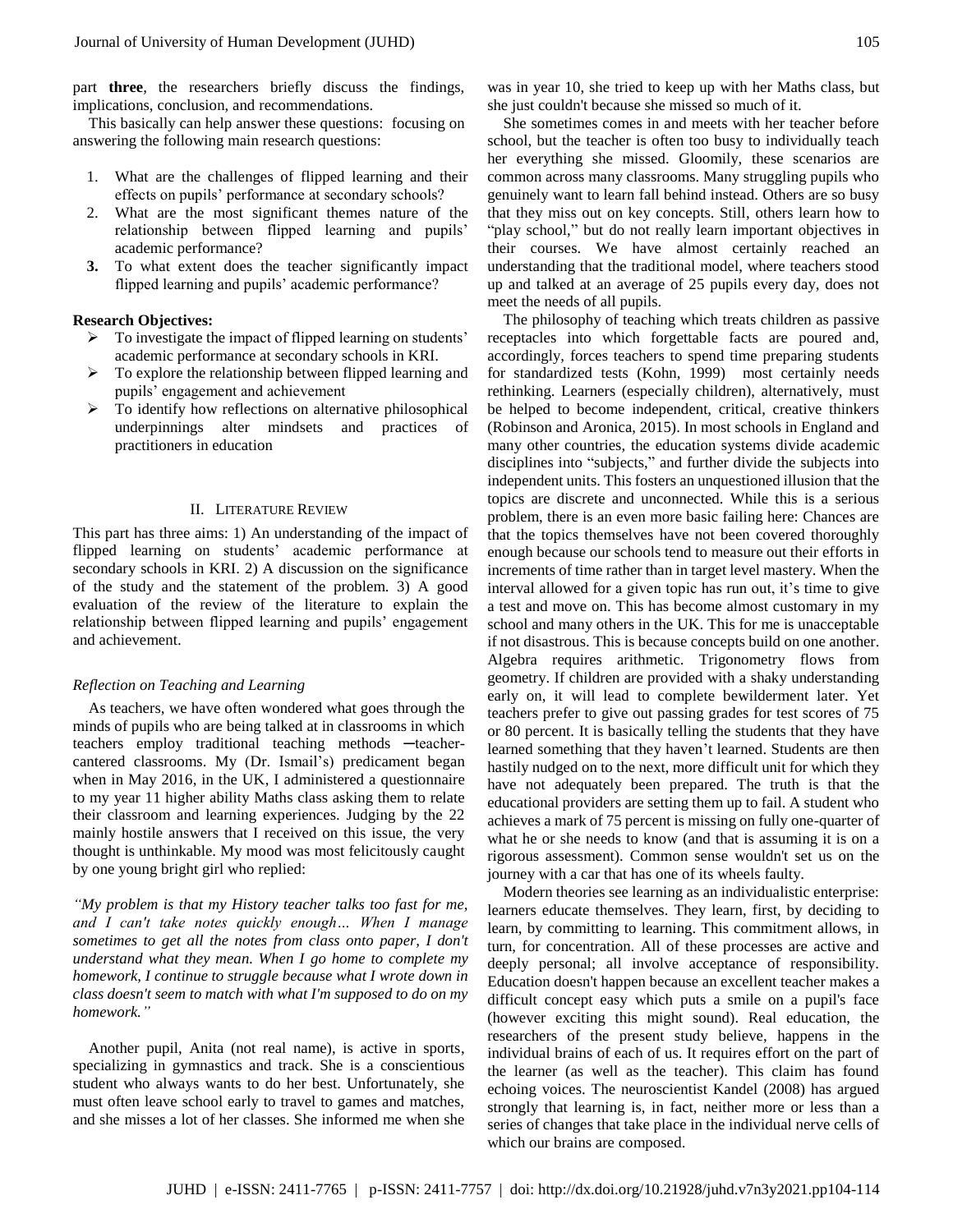part **three**, the researchers briefly discuss the findings, implications, conclusion, and recommendations.

This basically can help answer these questions: focusing on answering the following main research questions:

- 1. What are the challenges of flipped learning and their effects on pupils' performance at secondary schools?
- 2. What are the most significant themes nature of the relationship between flipped learning and pupils' academic performance?
- **3.** To what extent does the teacher significantly impact flipped learning and pupils' academic performance?

## **Research Objectives:**

- $\triangleright$  To investigate the impact of flipped learning on students' academic performance at secondary schools in KRI.
- To explore the relationship between flipped learning and pupils' engagement and achievement
- $\triangleright$  To identify how reflections on alternative philosophical underpinnings alter mindsets and practices of practitioners in education

## II. LITERATURE REVIEW

This part has three aims: 1) An understanding of the impact of flipped learning on students' academic performance at secondary schools in KRI. 2) A discussion on the significance of the study and the statement of the problem. 3) A good evaluation of the review of the literature to explain the relationship between flipped learning and pupils' engagement and achievement.

## *Reflection on Teaching and Learning*

As teachers, we have often wondered what goes through the minds of pupils who are being talked at in classrooms in which teachers employ traditional teaching methods -teachercantered classrooms. My (Dr. Ismail's) predicament began when in May 2016, in the UK, I administered a questionnaire to my year 11 higher ability Maths class asking them to relate their classroom and learning experiences. Judging by the 22 mainly hostile answers that I received on this issue, the very thought is unthinkable. My mood was most felicitously caught by one young bright girl who replied:

*"My problem is that my History teacher talks too fast for me, and I can't take notes quickly enough… When I manage sometimes to get all the notes from class onto paper, I don't understand what they mean. When I go home to complete my homework, I continue to struggle because what I wrote down in class doesn't seem to match with what I'm supposed to do on my homework."*

Another pupil, Anita (not real name), is active in sports, specializing in gymnastics and track. She is a conscientious student who always wants to do her best. Unfortunately, she must often leave school early to travel to games and matches, and she misses a lot of her classes. She informed me when she

was in year 10, she tried to keep up with her Maths class, but she just couldn't because she missed so much of it.

She sometimes comes in and meets with her teacher before school, but the teacher is often too busy to individually teach her everything she missed. Gloomily, these scenarios are common across many classrooms. Many struggling pupils who genuinely want to learn fall behind instead. Others are so busy that they miss out on key concepts. Still, others learn how to "play school," but do not really learn important objectives in their courses. We have almost certainly reached an understanding that the traditional model, where teachers stood up and talked at an average of 25 pupils every day, does not meet the needs of all pupils.

The philosophy of teaching which treats children as passive receptacles into which forgettable facts are poured and, accordingly, forces teachers to spend time preparing students for standardized tests (Kohn, 1999) most certainly needs rethinking. Learners (especially children), alternatively, must be helped to become independent, critical, creative thinkers (Robinson and Aronica, 2015). In most schools in England and many other countries, the education systems divide academic disciplines into "subjects," and further divide the subjects into independent units. This fosters an unquestioned illusion that the topics are discrete and unconnected. While this is a serious problem, there is an even more basic failing here: Chances are that the topics themselves have not been covered thoroughly enough because our schools tend to measure out their efforts in increments of time rather than in target level mastery. When the interval allowed for a given topic has run out, it's time to give a test and move on. This has become almost customary in my school and many others in the UK. This for me is unacceptable if not disastrous. This is because concepts build on one another. Algebra requires arithmetic. Trigonometry flows from geometry. If children are provided with a shaky understanding early on, it will lead to complete bewilderment later. Yet teachers prefer to give out passing grades for test scores of 75 or 80 percent. It is basically telling the students that they have learned something that they haven't learned. Students are then hastily nudged on to the next, more difficult unit for which they have not adequately been prepared. The truth is that the educational providers are setting them up to fail. A student who achieves a mark of 75 percent is missing on fully one-quarter of what he or she needs to know (and that is assuming it is on a rigorous assessment). Common sense wouldn't set us on the journey with a car that has one of its wheels faulty.

Modern theories see learning as an individualistic enterprise: learners educate themselves. They learn, first, by deciding to learn, by committing to learning. This commitment allows, in turn, for concentration. All of these processes are active and deeply personal; all involve acceptance of responsibility. Education doesn't happen because an excellent teacher makes a difficult concept easy which puts a smile on a pupil's face (however exciting this might sound). Real education, the researchers of the present study believe, happens in the individual brains of each of us. It requires effort on the part of the learner (as well as the teacher). This claim has found echoing voices. The neuroscientist Kandel (2008) has argued strongly that learning is, in fact, neither more or less than a series of changes that take place in the individual nerve cells of which our brains are composed.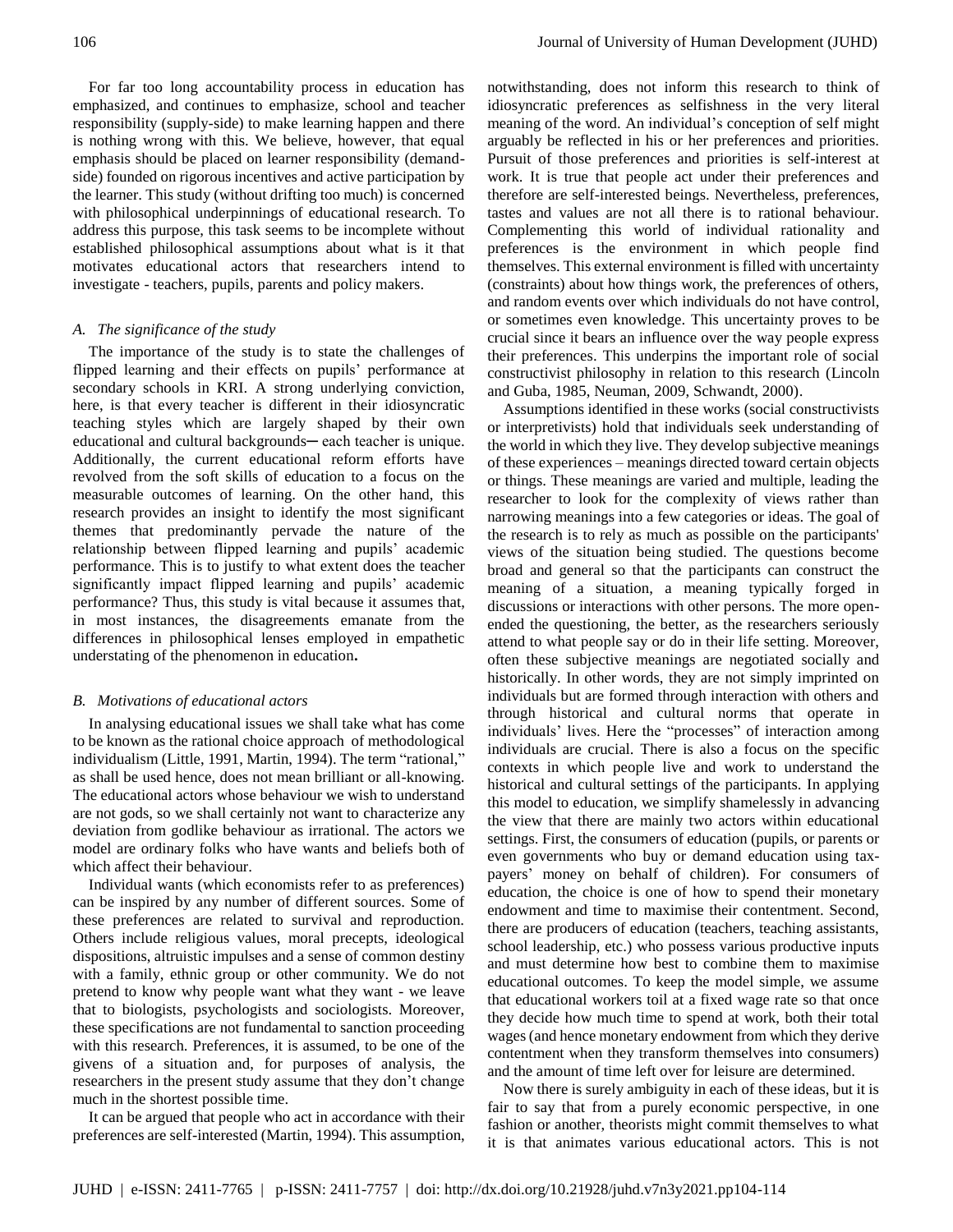For far too long accountability process in education has emphasized, and continues to emphasize, school and teacher responsibility (supply-side) to make learning happen and there is nothing wrong with this. We believe, however, that equal emphasis should be placed on learner responsibility (demandside) founded on rigorous incentives and active participation by the learner. This study (without drifting too much) is concerned with philosophical underpinnings of educational research. To address this purpose, this task seems to be incomplete without established philosophical assumptions about what is it that motivates educational actors that researchers intend to investigate - teachers, pupils, parents and policy makers.

#### *A. The significance of the study*

The importance of the study is to state the challenges of flipped learning and their effects on pupils' performance at secondary schools in KRI. A strong underlying conviction, here, is that every teacher is different in their idiosyncratic teaching styles which are largely shaped by their own educational and cultural backgrounds— each teacher is unique. Additionally, the current educational reform efforts have revolved from the soft skills of education to a focus on the measurable outcomes of learning. On the other hand, this research provides an insight to identify the most significant themes that predominantly pervade the nature of the relationship between flipped learning and pupils' academic performance. This is to justify to what extent does the teacher significantly impact flipped learning and pupils' academic performance? Thus, this study is vital because it assumes that, in most instances, the disagreements emanate from the differences in philosophical lenses employed in empathetic understating of the phenomenon in education**.**

#### *B. Motivations of educational actors*

In analysing educational issues we shall take what has come to be known as the rational choice approach of methodological individualism (Little, 1991, Martin, 1994). The term "rational," as shall be used hence, does not mean brilliant or all-knowing. The educational actors whose behaviour we wish to understand are not gods, so we shall certainly not want to characterize any deviation from godlike behaviour as irrational. The actors we model are ordinary folks who have wants and beliefs both of which affect their behaviour.

Individual wants (which economists refer to as preferences) can be inspired by any number of different sources. Some of these preferences are related to survival and reproduction. Others include religious values, moral precepts, ideological dispositions, altruistic impulses and a sense of common destiny with a family, ethnic group or other community. We do not pretend to know why people want what they want - we leave that to biologists, psychologists and sociologists. Moreover, these specifications are not fundamental to sanction proceeding with this research. Preferences, it is assumed, to be one of the givens of a situation and, for purposes of analysis, the researchers in the present study assume that they don't change much in the shortest possible time.

It can be argued that people who act in accordance with their preferences are self-interested (Martin, 1994). This assumption,

notwithstanding, does not inform this research to think of idiosyncratic preferences as selfishness in the very literal meaning of the word. An individual's conception of self might arguably be reflected in his or her preferences and priorities. Pursuit of those preferences and priorities is self-interest at work. It is true that people act under their preferences and therefore are self-interested beings. Nevertheless, preferences, tastes and values are not all there is to rational behaviour. Complementing this world of individual rationality and preferences is the environment in which people find themselves. This external environment is filled with uncertainty (constraints) about how things work, the preferences of others, and random events over which individuals do not have control, or sometimes even knowledge. This uncertainty proves to be crucial since it bears an influence over the way people express their preferences. This underpins the important role of social constructivist philosophy in relation to this research (Lincoln and Guba, 1985, Neuman, 2009, Schwandt, 2000).

Assumptions identified in these works (social constructivists or interpretivists) hold that individuals seek understanding of the world in which they live. They develop subjective meanings of these experiences – meanings directed toward certain objects or things. These meanings are varied and multiple, leading the researcher to look for the complexity of views rather than narrowing meanings into a few categories or ideas. The goal of the research is to rely as much as possible on the participants' views of the situation being studied. The questions become broad and general so that the participants can construct the meaning of a situation, a meaning typically forged in discussions or interactions with other persons. The more openended the questioning, the better, as the researchers seriously attend to what people say or do in their life setting. Moreover, often these subjective meanings are negotiated socially and historically. In other words, they are not simply imprinted on individuals but are formed through interaction with others and through historical and cultural norms that operate in individuals' lives. Here the "processes" of interaction among individuals are crucial. There is also a focus on the specific contexts in which people live and work to understand the historical and cultural settings of the participants. In applying this model to education, we simplify shamelessly in advancing the view that there are mainly two actors within educational settings. First, the consumers of education (pupils, or parents or even governments who buy or demand education using taxpayers' money on behalf of children). For consumers of education, the choice is one of how to spend their monetary endowment and time to maximise their contentment. Second, there are producers of education (teachers, teaching assistants, school leadership, etc.) who possess various productive inputs and must determine how best to combine them to maximise educational outcomes. To keep the model simple, we assume that educational workers toil at a fixed wage rate so that once they decide how much time to spend at work, both their total wages (and hence monetary endowment from which they derive contentment when they transform themselves into consumers) and the amount of time left over for leisure are determined.

Now there is surely ambiguity in each of these ideas, but it is fair to say that from a purely economic perspective, in one fashion or another, theorists might commit themselves to what it is that animates various educational actors. This is not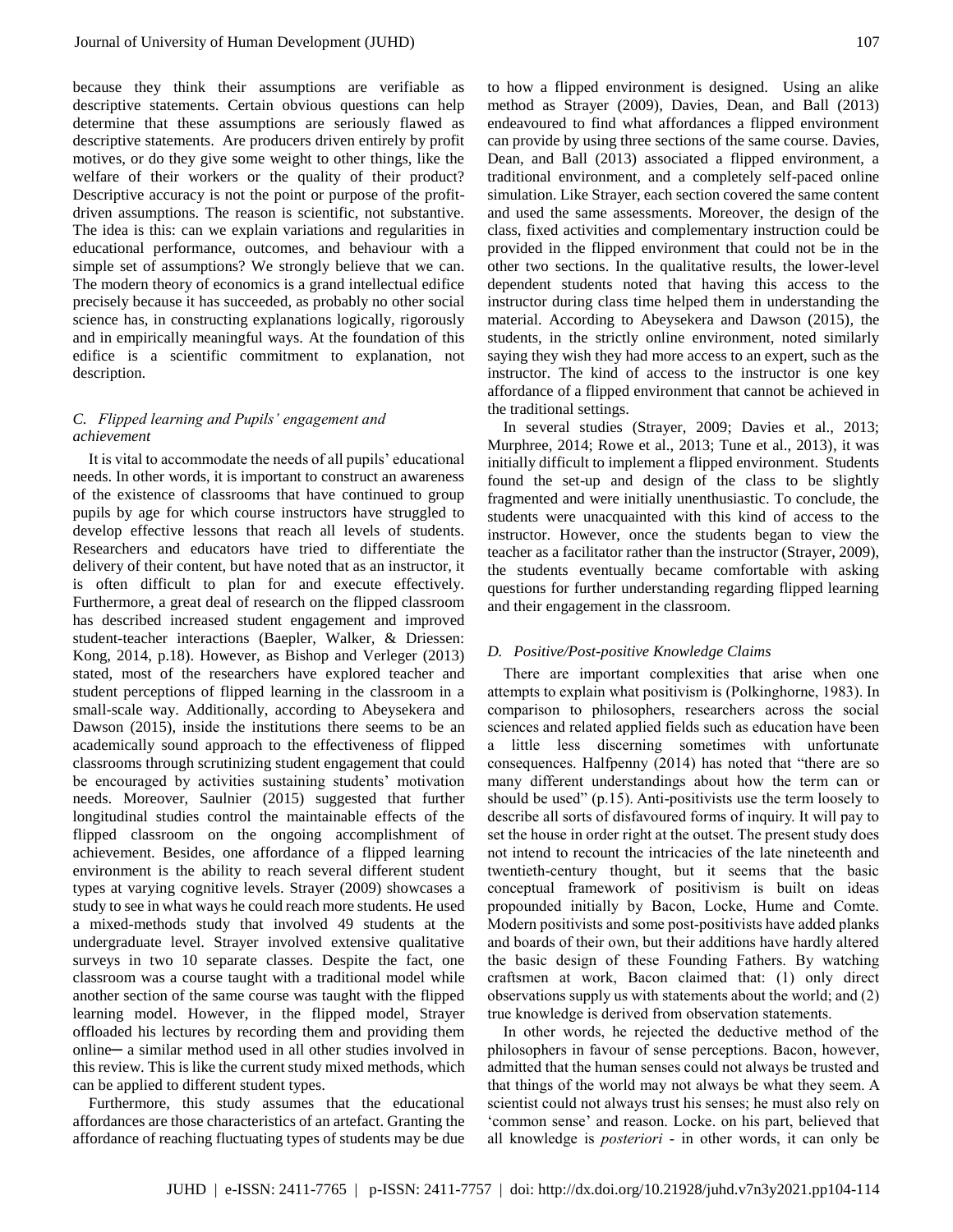because they think their assumptions are verifiable as descriptive statements. Certain obvious questions can help determine that these assumptions are seriously flawed as descriptive statements. Are producers driven entirely by profit motives, or do they give some weight to other things, like the welfare of their workers or the quality of their product? Descriptive accuracy is not the point or purpose of the profitdriven assumptions. The reason is scientific, not substantive. The idea is this: can we explain variations and regularities in educational performance, outcomes, and behaviour with a simple set of assumptions? We strongly believe that we can. The modern theory of economics is a grand intellectual edifice precisely because it has succeeded, as probably no other social science has, in constructing explanations logically, rigorously and in empirically meaningful ways. At the foundation of this edifice is a scientific commitment to explanation, not description.

# *C. Flipped learning and Pupils' engagement and achievement*

It is vital to accommodate the needs of all pupils' educational needs. In other words, it is important to construct an awareness of the existence of classrooms that have continued to group pupils by age for which course instructors have struggled to develop effective lessons that reach all levels of students. Researchers and educators have tried to differentiate the delivery of their content, but have noted that as an instructor, it is often difficult to plan for and execute effectively. Furthermore, a great deal of research on the flipped classroom has described increased student engagement and improved student-teacher interactions (Baepler, Walker, & Driessen: Kong, 2014, p.18). However, as Bishop and Verleger (2013) stated, most of the researchers have explored teacher and student perceptions of flipped learning in the classroom in a small-scale way. Additionally, according to Abeysekera and Dawson (2015), inside the institutions there seems to be an academically sound approach to the effectiveness of flipped classrooms through scrutinizing student engagement that could be encouraged by activities sustaining students' motivation needs. Moreover, Saulnier (2015) suggested that further longitudinal studies control the maintainable effects of the flipped classroom on the ongoing accomplishment of achievement. Besides, one affordance of a flipped learning environment is the ability to reach several different student types at varying cognitive levels. Strayer (2009) showcases a study to see in what ways he could reach more students. He used a mixed-methods study that involved 49 students at the undergraduate level. Strayer involved extensive qualitative surveys in two 10 separate classes. Despite the fact, one classroom was a course taught with a traditional model while another section of the same course was taught with the flipped learning model. However, in the flipped model, Strayer offloaded his lectures by recording them and providing them online─ a similar method used in all other studies involved in this review. This is like the current study mixed methods, which can be applied to different student types.

Furthermore, this study assumes that the educational affordances are those characteristics of an artefact. Granting the affordance of reaching fluctuating types of students may be due to how a flipped environment is designed. Using an alike method as Strayer (2009), Davies, Dean, and Ball (2013) endeavoured to find what affordances a flipped environment can provide by using three sections of the same course. Davies, Dean, and Ball (2013) associated a flipped environment, a traditional environment, and a completely self-paced online simulation. Like Strayer, each section covered the same content and used the same assessments. Moreover, the design of the class, fixed activities and complementary instruction could be provided in the flipped environment that could not be in the other two sections. In the qualitative results, the lower-level dependent students noted that having this access to the instructor during class time helped them in understanding the material. According to Abeysekera and Dawson (2015), the students, in the strictly online environment, noted similarly saying they wish they had more access to an expert, such as the instructor. The kind of access to the instructor is one key affordance of a flipped environment that cannot be achieved in the traditional settings.

In several studies (Strayer, 2009; Davies et al., 2013; Murphree, 2014; Rowe et al., 2013; Tune et al., 2013), it was initially difficult to implement a flipped environment. Students found the set-up and design of the class to be slightly fragmented and were initially unenthusiastic. To conclude, the students were unacquainted with this kind of access to the instructor. However, once the students began to view the teacher as a facilitator rather than the instructor (Strayer, 2009), the students eventually became comfortable with asking questions for further understanding regarding flipped learning and their engagement in the classroom.

## *D. Positive/Post-positive Knowledge Claims*

There are important complexities that arise when one attempts to explain what positivism is (Polkinghorne, 1983). In comparison to philosophers, researchers across the social sciences and related applied fields such as education have been a little less discerning sometimes with unfortunate consequences. Halfpenny (2014) has noted that "there are so many different understandings about how the term can or should be used" (p.15). Anti-positivists use the term loosely to describe all sorts of disfavoured forms of inquiry. It will pay to set the house in order right at the outset. The present study does not intend to recount the intricacies of the late nineteenth and twentieth-century thought, but it seems that the basic conceptual framework of positivism is built on ideas propounded initially by Bacon, Locke, Hume and Comte. Modern positivists and some post-positivists have added planks and boards of their own, but their additions have hardly altered the basic design of these Founding Fathers. By watching craftsmen at work, Bacon claimed that: (1) only direct observations supply us with statements about the world; and (2) true knowledge is derived from observation statements.

In other words, he rejected the deductive method of the philosophers in favour of sense perceptions. Bacon, however, admitted that the human senses could not always be trusted and that things of the world may not always be what they seem. A scientist could not always trust his senses; he must also rely on 'common sense' and reason. Locke. on his part, believed that all knowledge is *posteriori* - in other words, it can only be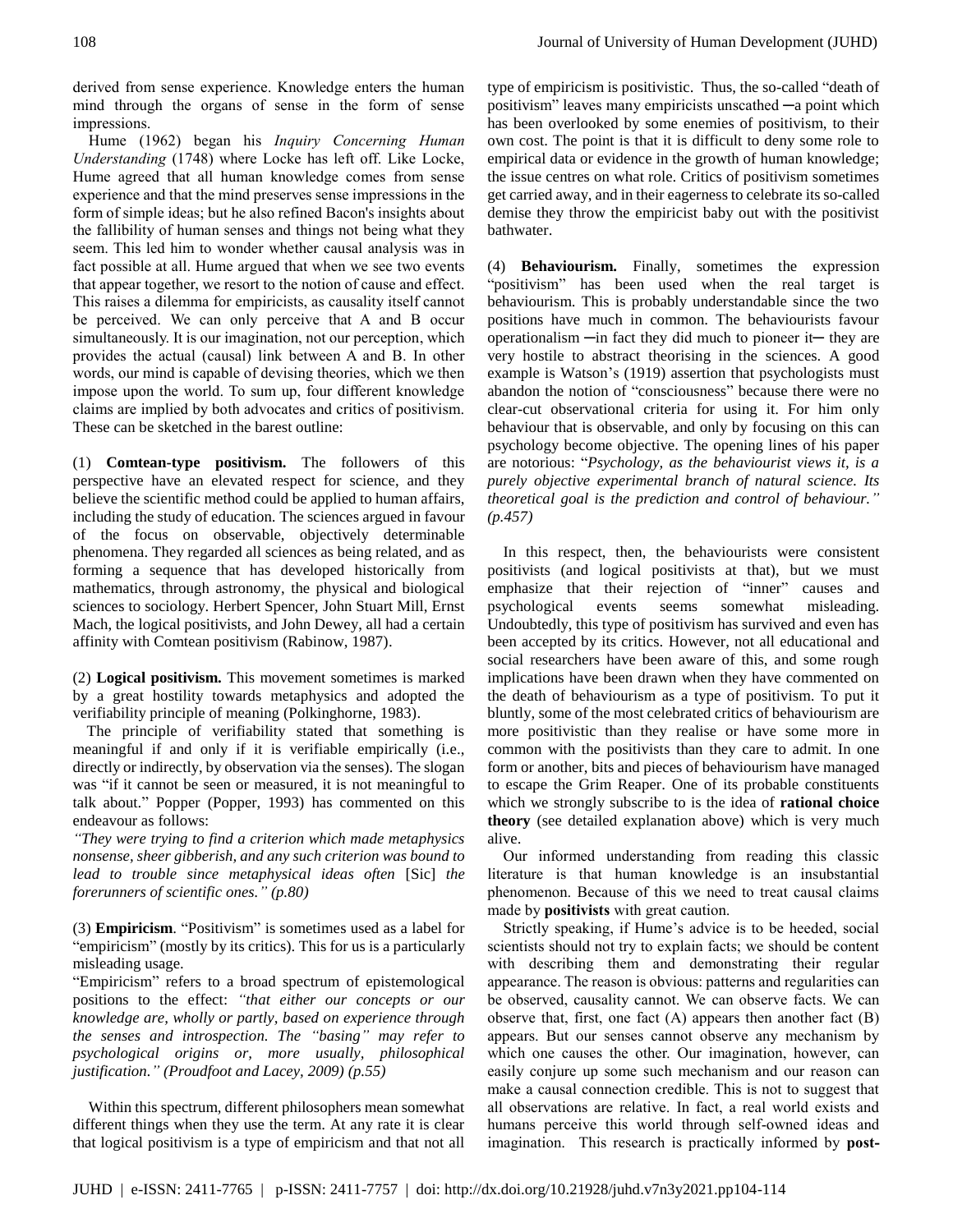derived from sense experience. Knowledge enters the human mind through the organs of sense in the form of sense impressions.

Hume (1962) began his *Inquiry Concerning Human Understanding* (1748) where Locke has left off. Like Locke, Hume agreed that all human knowledge comes from sense experience and that the mind preserves sense impressions in the form of simple ideas; but he also refined Bacon's insights about the fallibility of human senses and things not being what they seem. This led him to wonder whether causal analysis was in fact possible at all. Hume argued that when we see two events that appear together, we resort to the notion of cause and effect. This raises a dilemma for empiricists, as causality itself cannot be perceived. We can only perceive that A and B occur simultaneously. It is our imagination, not our perception, which provides the actual (causal) link between A and B. In other words, our mind is capable of devising theories, which we then impose upon the world. To sum up, four different knowledge claims are implied by both advocates and critics of positivism. These can be sketched in the barest outline:

(1) **Comtean-type positivism.** The followers of this perspective have an elevated respect for science, and they believe the scientific method could be applied to human affairs, including the study of education. The sciences argued in favour of the focus on observable, objectively determinable phenomena. They regarded all sciences as being related, and as forming a sequence that has developed historically from mathematics, through astronomy, the physical and biological sciences to sociology. Herbert Spencer, John Stuart Mill, Ernst Mach, the logical positivists, and John Dewey, all had a certain affinity with Comtean positivism (Rabinow, 1987).

(2) **Logical positivism.** This movement sometimes is marked by a great hostility towards metaphysics and adopted the verifiability principle of meaning (Polkinghorne, 1983).

The principle of verifiability stated that something is meaningful if and only if it is verifiable empirically (i.e., directly or indirectly, by observation via the senses). The slogan was "if it cannot be seen or measured, it is not meaningful to talk about." Popper (Popper, 1993) has commented on this endeavour as follows:

*"They were trying to find a criterion which made metaphysics nonsense, sheer gibberish, and any such criterion was bound to lead to trouble since metaphysical ideas often* [Sic] *the forerunners of scientific ones." (p.80)*

(3) **Empiricism**. "Positivism" is sometimes used as a label for "empiricism" (mostly by its critics). This for us is a particularly misleading usage.

"Empiricism" refers to a broad spectrum of epistemological positions to the effect: *"that either our concepts or our knowledge are, wholly or partly, based on experience through the senses and introspection. The "basing" may refer to psychological origins or, more usually, philosophical justification." (Proudfoot and Lacey, 2009) (p.55)*

Within this spectrum, different philosophers mean somewhat different things when they use the term. At any rate it is clear that logical positivism is a type of empiricism and that not all

type of empiricism is positivistic. Thus, the so-called "death of positivism" leaves many empiricists unscathed ─a point which has been overlooked by some enemies of positivism, to their own cost. The point is that it is difficult to deny some role to empirical data or evidence in the growth of human knowledge; the issue centres on what role. Critics of positivism sometimes get carried away, and in their eagerness to celebrate its so-called demise they throw the empiricist baby out with the positivist bathwater.

(4) **Behaviourism.** Finally, sometimes the expression "positivism" has been used when the real target is behaviourism. This is probably understandable since the two positions have much in common. The behaviourists favour operationalism ─in fact they did much to pioneer it─ they are very hostile to abstract theorising in the sciences. A good example is Watson's (1919) assertion that psychologists must abandon the notion of "consciousness" because there were no clear-cut observational criteria for using it. For him only behaviour that is observable, and only by focusing on this can psychology become objective. The opening lines of his paper are notorious: "*Psychology, as the behaviourist views it, is a purely objective experimental branch of natural science. Its theoretical goal is the prediction and control of behaviour." (p.457)*

In this respect, then, the behaviourists were consistent positivists (and logical positivists at that), but we must emphasize that their rejection of "inner" causes and psychological events seems somewhat misleading. Undoubtedly, this type of positivism has survived and even has been accepted by its critics. However, not all educational and social researchers have been aware of this, and some rough implications have been drawn when they have commented on the death of behaviourism as a type of positivism. To put it bluntly, some of the most celebrated critics of behaviourism are more positivistic than they realise or have some more in common with the positivists than they care to admit. In one form or another, bits and pieces of behaviourism have managed to escape the Grim Reaper. One of its probable constituents which we strongly subscribe to is the idea of **rational choice theory** (see detailed explanation above) which is very much alive.

Our informed understanding from reading this classic literature is that human knowledge is an insubstantial phenomenon. Because of this we need to treat causal claims made by **positivists** with great caution.

Strictly speaking, if Hume's advice is to be heeded, social scientists should not try to explain facts; we should be content with describing them and demonstrating their regular appearance. The reason is obvious: patterns and regularities can be observed, causality cannot. We can observe facts. We can observe that, first, one fact  $(A)$  appears then another fact  $(B)$ appears. But our senses cannot observe any mechanism by which one causes the other. Our imagination, however, can easily conjure up some such mechanism and our reason can make a causal connection credible. This is not to suggest that all observations are relative. In fact, a real world exists and humans perceive this world through self-owned ideas and imagination. This research is practically informed by **post-**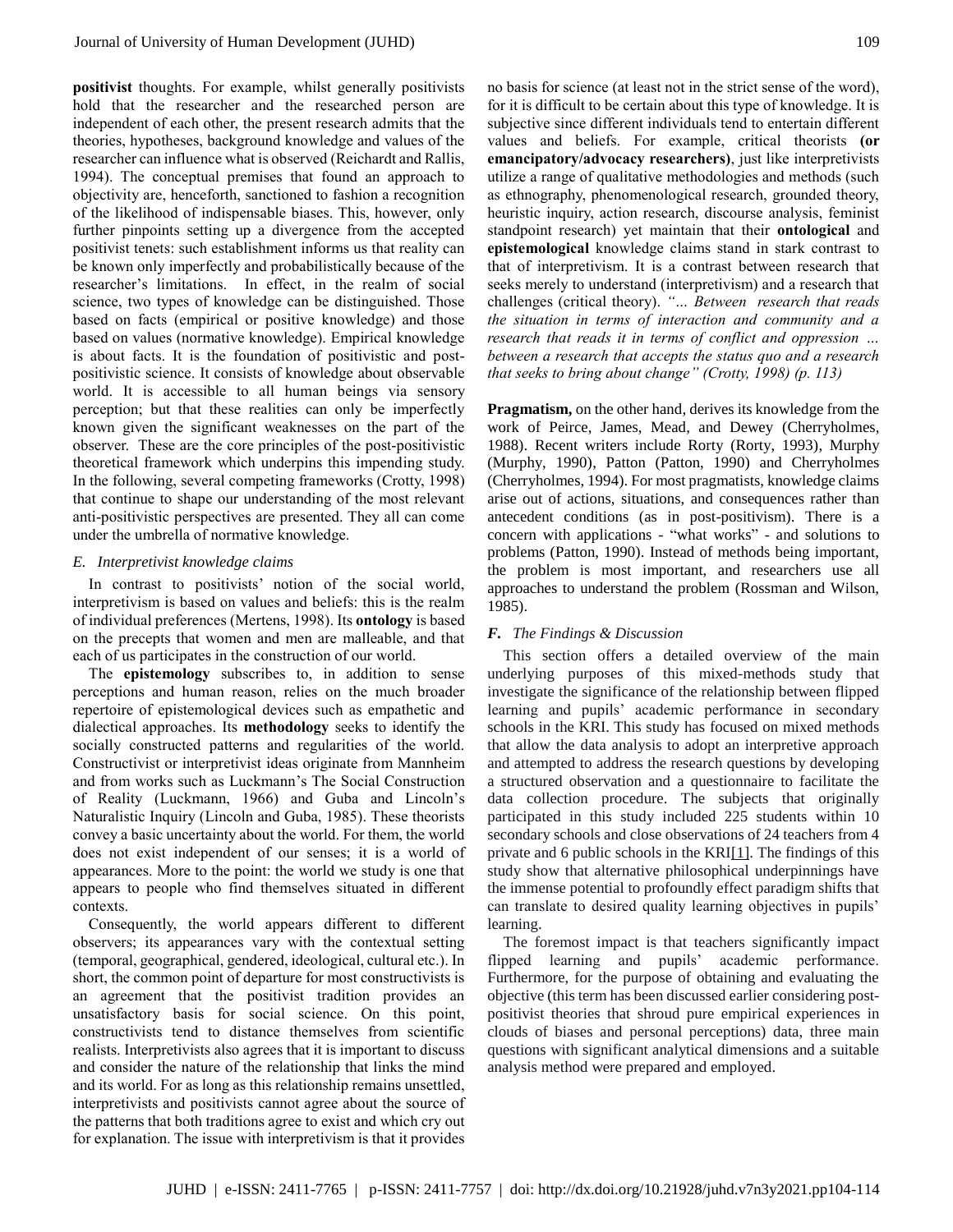**positivist** thoughts. For example, whilst generally positivists hold that the researcher and the researched person are independent of each other, the present research admits that the theories, hypotheses, background knowledge and values of the researcher can influence what is observed (Reichardt and Rallis, 1994). The conceptual premises that found an approach to objectivity are, henceforth, sanctioned to fashion a recognition of the likelihood of indispensable biases. This, however, only further pinpoints setting up a divergence from the accepted positivist tenets: such establishment informs us that reality can be known only imperfectly and probabilistically because of the researcher's limitations. In effect, in the realm of social science, two types of knowledge can be distinguished. Those based on facts (empirical or positive knowledge) and those based on values (normative knowledge). Empirical knowledge is about facts. It is the foundation of positivistic and postpositivistic science. It consists of knowledge about observable world. It is accessible to all human beings via sensory perception; but that these realities can only be imperfectly known given the significant weaknesses on the part of the observer. These are the core principles of the post-positivistic theoretical framework which underpins this impending study. In the following, several competing frameworks (Crotty, 1998) that continue to shape our understanding of the most relevant anti-positivistic perspectives are presented. They all can come under the umbrella of normative knowledge.

## *E. Interpretivist knowledge claims*

In contrast to positivists' notion of the social world, interpretivism is based on values and beliefs: this is the realm of individual preferences (Mertens, 1998). Its **ontology** is based on the precepts that women and men are malleable, and that each of us participates in the construction of our world.

The **epistemology** subscribes to, in addition to sense perceptions and human reason, relies on the much broader repertoire of epistemological devices such as empathetic and dialectical approaches. Its **methodology** seeks to identify the socially constructed patterns and regularities of the world. Constructivist or interpretivist ideas originate from Mannheim and from works such as Luckmann's The Social Construction of Reality (Luckmann, 1966) and Guba and Lincoln's Naturalistic Inquiry (Lincoln and Guba, 1985). These theorists convey a basic uncertainty about the world. For them, the world does not exist independent of our senses; it is a world of appearances. More to the point: the world we study is one that appears to people who find themselves situated in different contexts.

Consequently, the world appears different to different observers; its appearances vary with the contextual setting (temporal, geographical, gendered, ideological, cultural etc.). In short, the common point of departure for most constructivists is an agreement that the positivist tradition provides an unsatisfactory basis for social science. On this point, constructivists tend to distance themselves from scientific realists. Interpretivists also agrees that it is important to discuss and consider the nature of the relationship that links the mind and its world. For as long as this relationship remains unsettled, interpretivists and positivists cannot agree about the source of the patterns that both traditions agree to exist and which cry out for explanation. The issue with interpretivism is that it provides no basis for science (at least not in the strict sense of the word), for it is difficult to be certain about this type of knowledge. It is subjective since different individuals tend to entertain different values and beliefs. For example, critical theorists **(or emancipatory/advocacy researchers)**, just like interpretivists utilize a range of qualitative methodologies and methods (such as ethnography, phenomenological research, grounded theory, heuristic inquiry, action research, discourse analysis, feminist standpoint research) yet maintain that their **ontological** and **epistemological** knowledge claims stand in stark contrast to that of interpretivism. It is a contrast between research that seeks merely to understand (interpretivism) and a research that challenges (critical theory). *"… Between research that reads the situation in terms of interaction and community and a research that reads it in terms of conflict and oppression … between a research that accepts the status quo and a research that seeks to bring about change" (Crotty, 1998) (p. 113)*

**Pragmatism,** on the other hand, derives its knowledge from the work of Peirce, James, Mead, and Dewey (Cherryholmes, 1988). Recent writers include Rorty (Rorty, 1993), Murphy (Murphy, 1990), Patton (Patton, 1990) and Cherryholmes (Cherryholmes, 1994). For most pragmatists, knowledge claims arise out of actions, situations, and consequences rather than antecedent conditions (as in post-positivism). There is a concern with applications - "what works" - and solutions to problems (Patton, 1990). Instead of methods being important, the problem is most important, and researchers use all approaches to understand the problem (Rossman and Wilson, 1985).

## *F. The Findings & Discussion*

This section offers a detailed overview of the main underlying purposes of this mixed-methods study that investigate the significance of the relationship between flipped learning and pupils' academic performance in secondary schools in the KRI. This study has focused on mixed methods that allow the data analysis to adopt an interpretive approach and attempted to address the research questions by developing a structured observation and a questionnaire to facilitate the data collection procedure. The subjects that originally participated in this study included 225 students within 10 secondary schools and close observations of 24 teachers from 4 private and 6 public schools in the KRI[1]. The findings of this study show that alternative philosophical underpinnings have the immense potential to profoundly effect paradigm shifts that can translate to desired quality learning objectives in pupils' learning.

The foremost impact is that teachers significantly impact flipped learning and pupils' academic performance. Furthermore, for the purpose of obtaining and evaluating the objective (this term has been discussed earlier considering postpositivist theories that shroud pure empirical experiences in clouds of biases and personal perceptions) data, three main questions with significant analytical dimensions and a suitable analysis method were prepared and employed.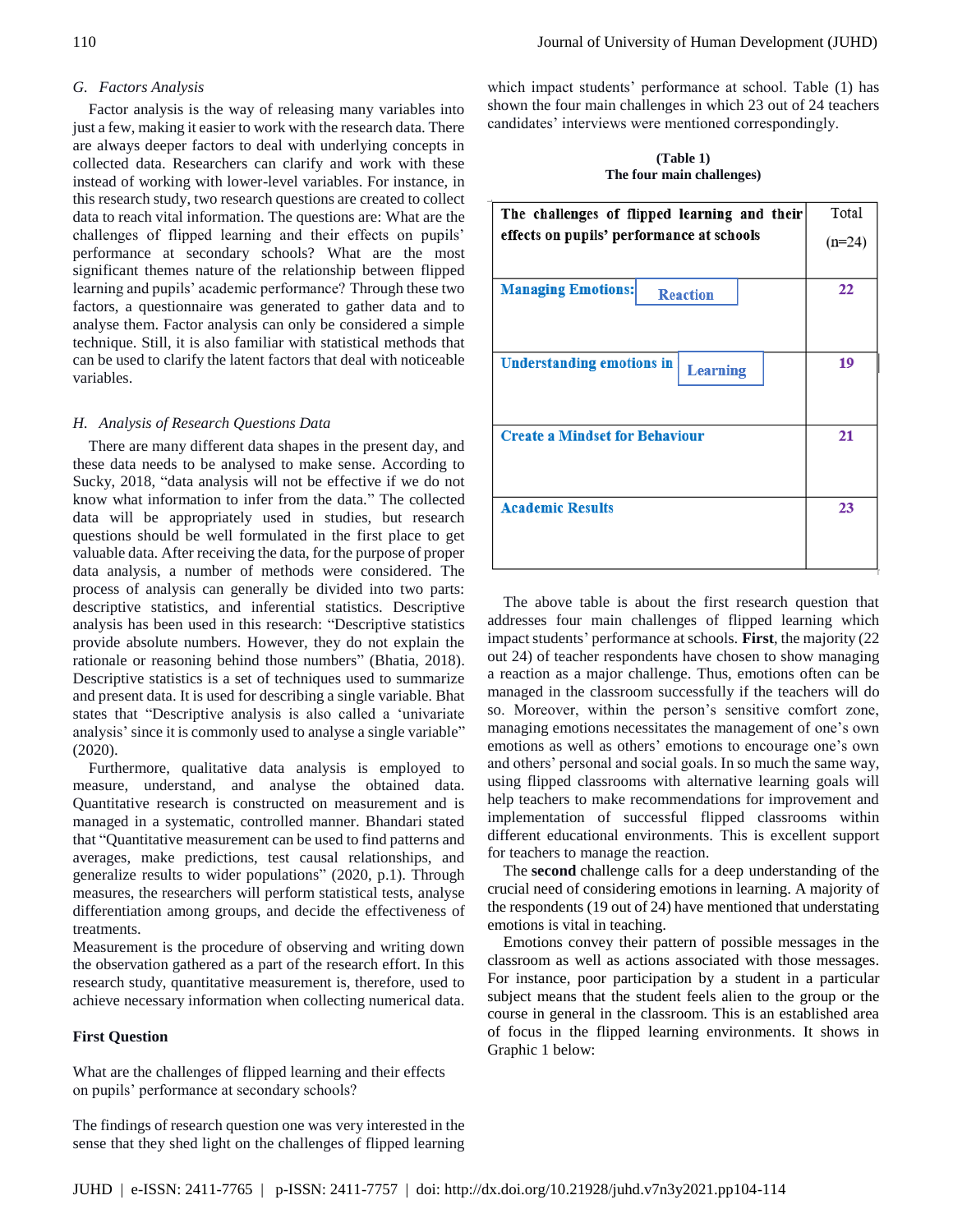## *G. Factors Analysis*

Factor analysis is the way of releasing many variables into just a few, making it easier to work with the research data. There are always deeper factors to deal with underlying concepts in collected data. Researchers can clarify and work with these instead of working with lower-level variables. For instance, in this research study, two research questions are created to collect data to reach vital information. The questions are: What are the challenges of flipped learning and their effects on pupils' performance at secondary schools? What are the most significant themes nature of the relationship between flipped learning and pupils' academic performance? Through these two factors, a questionnaire was generated to gather data and to analyse them. Factor analysis can only be considered a simple technique. Still, it is also familiar with statistical methods that can be used to clarify the latent factors that deal with noticeable variables.

#### *H. Analysis of Research Questions Data*

There are many different data shapes in the present day, and these data needs to be analysed to make sense. According to Sucky, 2018, "data analysis will not be effective if we do not know what information to infer from the data." The collected data will be appropriately used in studies, but research questions should be well formulated in the first place to get valuable data. After receiving the data, for the purpose of proper data analysis, a number of methods were considered. The process of analysis can generally be divided into two parts: descriptive statistics, and inferential statistics. Descriptive analysis has been used in this research: "Descriptive statistics provide absolute numbers. However, they do not explain the rationale or reasoning behind those numbers" (Bhatia, 2018). Descriptive statistics is a set of techniques used to summarize and present data. It is used for describing a single variable. Bhat states that "Descriptive analysis is also called a 'univariate analysis' since it is commonly used to analyse a single variable" (2020).

Furthermore, qualitative data analysis is employed to measure, understand, and analyse the obtained data. Quantitative research is constructed on measurement and is managed in a systematic, controlled manner. Bhandari stated that "Quantitative measurement can be used to find patterns and averages, make predictions, test causal relationships, and generalize results to wider populations" (2020, p.1). Through measures, the researchers will perform statistical tests, analyse differentiation among groups, and decide the effectiveness of treatments.

Measurement is the procedure of observing and writing down the observation gathered as a part of the research effort. In this research study, quantitative measurement is, therefore, used to achieve necessary information when collecting numerical data.

#### **First Question**

What are the challenges of flipped learning and their effects on pupils' performance at secondary schools?

The findings of research question one was very interested in the sense that they shed light on the challenges of flipped learning which impact students' performance at school. Table (1) has shown the four main challenges in which 23 out of 24 teachers candidates' interviews were mentioned correspondingly.

#### **(Table 1) The four main challenges)**

| The challenges of flipped learning and their        | Total    |
|-----------------------------------------------------|----------|
| effects on pupils' performance at schools           | $(n=24)$ |
| <b>Managing Emotions:</b><br><b>Reaction</b>        | 22       |
|                                                     |          |
| <b>Understanding emotions in</b><br><b>Learning</b> | 19       |
|                                                     |          |
| <b>Create a Mindset for Behaviour</b>               | 21       |
|                                                     |          |
| <b>Academic Results</b>                             | 23       |
|                                                     |          |

The above table is about the first research question that addresses four main challenges of flipped learning which impact students' performance at schools. **First**, the majority (22 out 24) of teacher respondents have chosen to show managing a reaction as a major challenge. Thus, emotions often can be managed in the classroom successfully if the teachers will do so. Moreover, within the person's sensitive comfort zone, managing emotions necessitates the management of one's own emotions as well as others' emotions to encourage one's own and others' personal and social goals. In so much the same way, using flipped classrooms with alternative learning goals will help teachers to make recommendations for improvement and implementation of successful flipped classrooms within different educational environments. This is excellent support for teachers to manage the reaction.

The **second** challenge calls for a deep understanding of the crucial need of considering emotions in learning. A majority of the respondents (19 out of 24) have mentioned that understating emotions is vital in teaching.

Emotions convey their pattern of possible messages in the classroom as well as actions associated with those messages. For instance, poor participation by a student in a particular subject means that the student feels alien to the group or the course in general in the classroom. This is an established area of focus in the flipped learning environments. It shows in Graphic 1 below: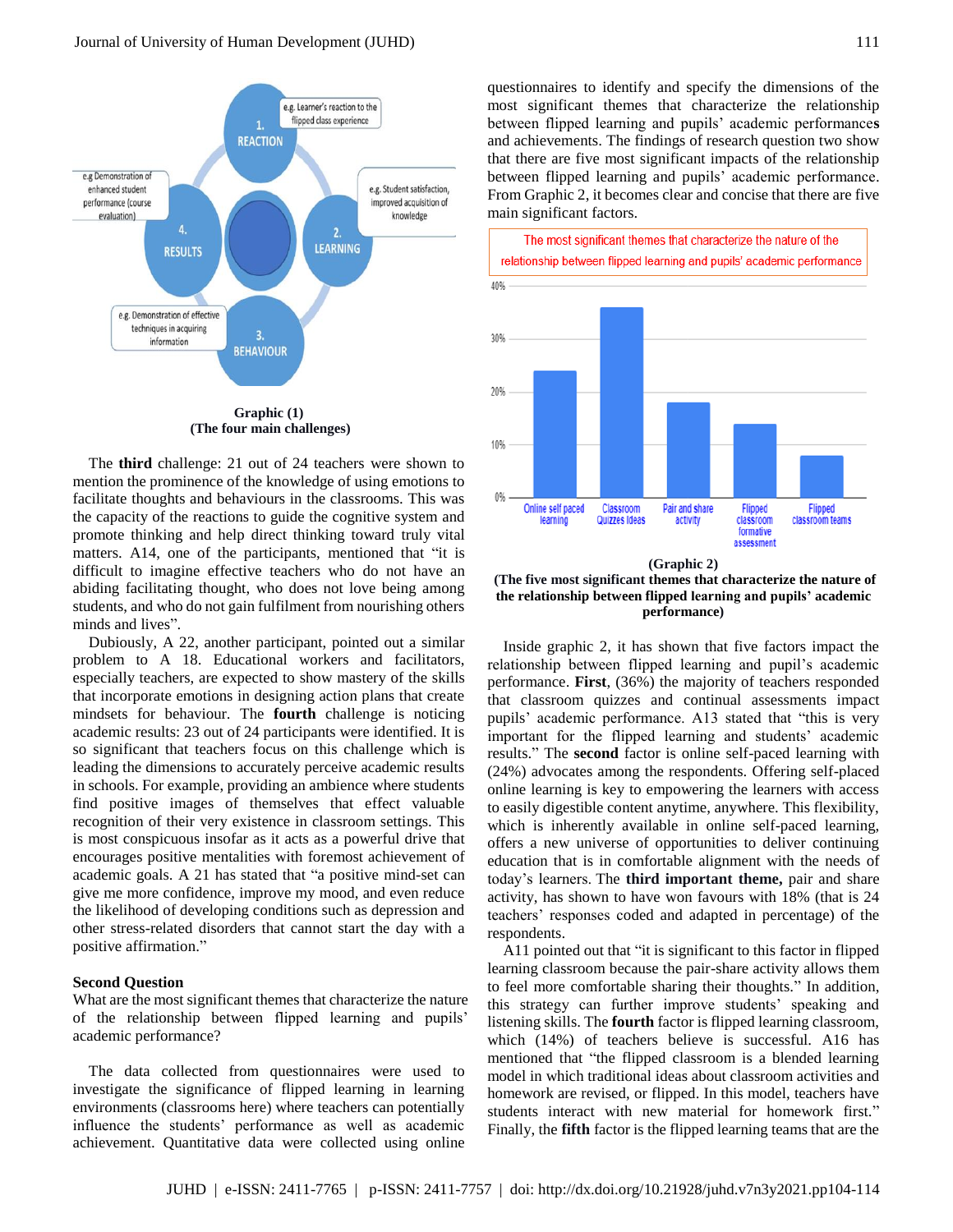

**(The four main challenges)**

The **third** challenge: 21 out of 24 teachers were shown to mention the prominence of the knowledge of using emotions to facilitate thoughts and behaviours in the classrooms. This was the capacity of the reactions to guide the cognitive system and promote thinking and help direct thinking toward truly vital matters. A14, one of the participants, mentioned that "it is difficult to imagine effective teachers who do not have an abiding facilitating thought, who does not love being among students, and who do not gain fulfilment from nourishing others minds and lives".

Dubiously, A 22, another participant, pointed out a similar problem to A 18. Educational workers and facilitators, especially teachers, are expected to show mastery of the skills that incorporate emotions in designing action plans that create mindsets for behaviour. The **fourth** challenge is noticing academic results: 23 out of 24 participants were identified. It is so significant that teachers focus on this challenge which is leading the dimensions to accurately perceive academic results in schools. For example, providing an ambience where students find positive images of themselves that effect valuable recognition of their very existence in classroom settings. This is most conspicuous insofar as it acts as a powerful drive that encourages positive mentalities with foremost achievement of academic goals. A 21 has stated that "a positive mind-set can give me more confidence, improve my mood, and even reduce the likelihood of developing conditions such as depression and other stress-related disorders that cannot start the day with a positive affirmation."

#### **Second Question**

What are the most significant themes that characterize the nature of the relationship between flipped learning and pupils' academic performance?

The data collected from questionnaires were used to investigate the significance of flipped learning in learning environments (classrooms here) where teachers can potentially influence the students' performance as well as academic achievement. Quantitative data were collected using online questionnaires to identify and specify the dimensions of the most significant themes that characterize the relationship between flipped learning and pupils' academic performance**s** and achievements. The findings of research question two show that there are five most significant impacts of the relationship between flipped learning and pupils' academic performance. From Graphic 2, it becomes clear and concise that there are five main significant factors.



**(Graphic 2)**

**(The five most significant themes that characterize the nature of the relationship between flipped learning and pupils' academic performance)**

Inside graphic 2, it has shown that five factors impact the relationship between flipped learning and pupil's academic performance. **First**, (36%) the majority of teachers responded that classroom quizzes and continual assessments impact pupils' academic performance. A13 stated that "this is very important for the flipped learning and students' academic results." The **second** factor is online self-paced learning with (24%) advocates among the respondents. Offering self-placed online learning is key to empowering the learners with access to easily digestible content anytime, anywhere. This flexibility, which is inherently available in online self-paced learning, offers a new universe of opportunities to deliver continuing education that is in comfortable alignment with the needs of today's learners. The **third important theme,** pair and share activity, has shown to have won favours with 18% (that is 24 teachers' responses coded and adapted in percentage) of the respondents.

A11 pointed out that "it is significant to this factor in flipped learning classroom because the pair-share activity allows them to feel more comfortable sharing their thoughts." In addition, this strategy can further improve students' speaking and listening skills. The **fourth** factor is flipped learning classroom, which (14%) of teachers believe is successful. A16 has mentioned that "the flipped classroom is a blended learning model in which traditional ideas about classroom activities and homework are revised, or flipped. In this model, teachers have students interact with new material for homework first." Finally, the **fifth** factor is the flipped learning teams that are the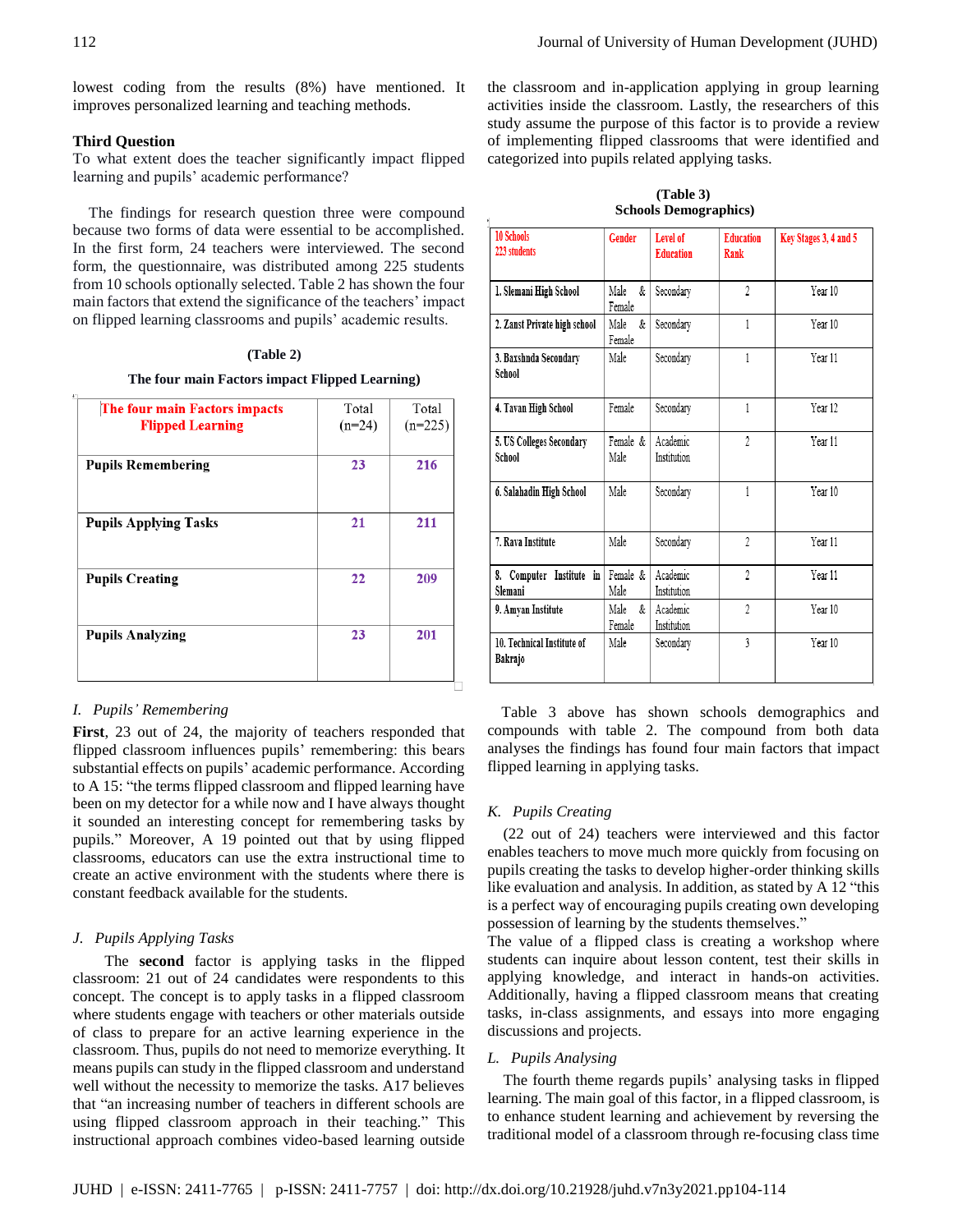lowest coding from the results (8%) have mentioned. It improves personalized learning and teaching methods.

## **Third Question**

To what extent does the teacher significantly impact flipped learning and pupils' academic performance?

The findings for research question three were compound because two forms of data were essential to be accomplished. In the first form, 24 teachers were interviewed. The second form, the questionnaire, was distributed among 225 students from 10 schools optionally selected. Table 2 has shown the four main factors that extend the significance of the teachers' impact on flipped learning classrooms and pupils' academic results.

## **(Table 2)**

**The four main Factors impact Flipped Learning)**

| The four main Factors impacts<br><b>Flipped Learning</b> | Total<br>$(n=24)$ | Total<br>$(n=225)$ |
|----------------------------------------------------------|-------------------|--------------------|
| <b>Pupils Remembering</b>                                | 23                | 216                |
| <b>Pupils Applying Tasks</b>                             | 21                | 211                |
| <b>Pupils Creating</b>                                   | 22                | 209                |
| <b>Pupils Analyzing</b>                                  | 23                | 201                |

## *I. Pupils' Remembering*

**First**, 23 out of 24, the majority of teachers responded that flipped classroom influences pupils' remembering: this bears substantial effects on pupils' academic performance. According to A 15: "the terms flipped classroom and flipped learning have been on my detector for a while now and I have always thought it sounded an interesting concept for remembering tasks by pupils." Moreover, A 19 pointed out that by using flipped classrooms, educators can use the extra instructional time to create an active environment with the students where there is constant feedback available for the students.

## *J. Pupils Applying Tasks*

The **second** factor is applying tasks in the flipped classroom: 21 out of 24 candidates were respondents to this concept. The concept is to apply tasks in a flipped classroom where students engage with teachers or other materials outside of class to prepare for an active learning experience in the classroom. Thus, pupils do not need to memorize everything. It means pupils can study in the flipped classroom and understand well without the necessity to memorize the tasks. A17 believes that "an increasing number of teachers in different schools are using flipped classroom approach in their teaching." This instructional approach combines video-based learning outside

the classroom and in-application applying in group learning activities inside the classroom. Lastly, the researchers of this study assume the purpose of this factor is to provide a review of implementing flipped classrooms that were identified and categorized into pupils related applying tasks.

**(Table 3) Schools Demographics)**

| <b>10 Schools</b><br>223 students     | <b>Gender</b>       | <b>Level of</b><br><b>Education</b> | <b>Education</b><br>Rank | Key Stages 3, 4 and 5 |
|---------------------------------------|---------------------|-------------------------------------|--------------------------|-----------------------|
| 1. Slemani High School                | Male<br>&<br>Female | Secondary                           | $\overline{\mathcal{L}}$ | Year 10               |
| 2. Zanst Private high school          | Male<br>&<br>Female | Secondary                           | 1                        | Year 10               |
| 3. Baxshnda Secondary<br>School       | Male                | Secondary                           | $\mathbf{1}$             | Year 11               |
| 4. Tavan High School                  | Female              | Secondary                           | 1                        | Year 12               |
| 5. US Colleges Secondary<br>School    | Female &<br>Male    | Academic<br>Institution             | $\overline{2}$           | Year 11               |
| 6. Salahadin High School              | Male                | Secondary                           | $\mathbf{1}$             | Year 10               |
| 7. Rava Institute                     | Male                | Secondary                           | $\overline{2}$           | Year 11               |
| 8. Computer Institute in<br>Slemani   | Female &<br>Male    | Academic<br>Institution             | $\overline{2}$           | Year 11               |
| 9. Amyan Institute                    | Male<br>&<br>Female | Academic<br>Institution             | $\overline{2}$           | Year 10               |
| 10. Technical Institute of<br>Bakrajo | Male                | Secondary                           | 3                        | Year 10               |

Table 3 above has shown schools demographics and compounds with table 2. The compound from both data analyses the findings has found four main factors that impact flipped learning in applying tasks.

## *K. Pupils Creating*

 $\ast$ 

(22 out of 24) teachers were interviewed and this factor enables teachers to move much more quickly from focusing on pupils creating the tasks to develop higher-order thinking skills like evaluation and analysis. In addition, as stated by A 12 "this is a perfect way of encouraging pupils creating own developing possession of learning by the students themselves."

The value of a flipped class is creating a workshop where students can inquire about lesson content, test their skills in applying knowledge, and interact in hands-on activities. Additionally, having a flipped classroom means that creating tasks, in-class assignments, and essays into more engaging discussions and projects.

## *L. Pupils Analysing*

The fourth theme regards pupils' analysing tasks in flipped learning. The main goal of this factor, in a flipped classroom, is to enhance student learning and achievement by reversing the traditional model of a classroom through re-focusing class time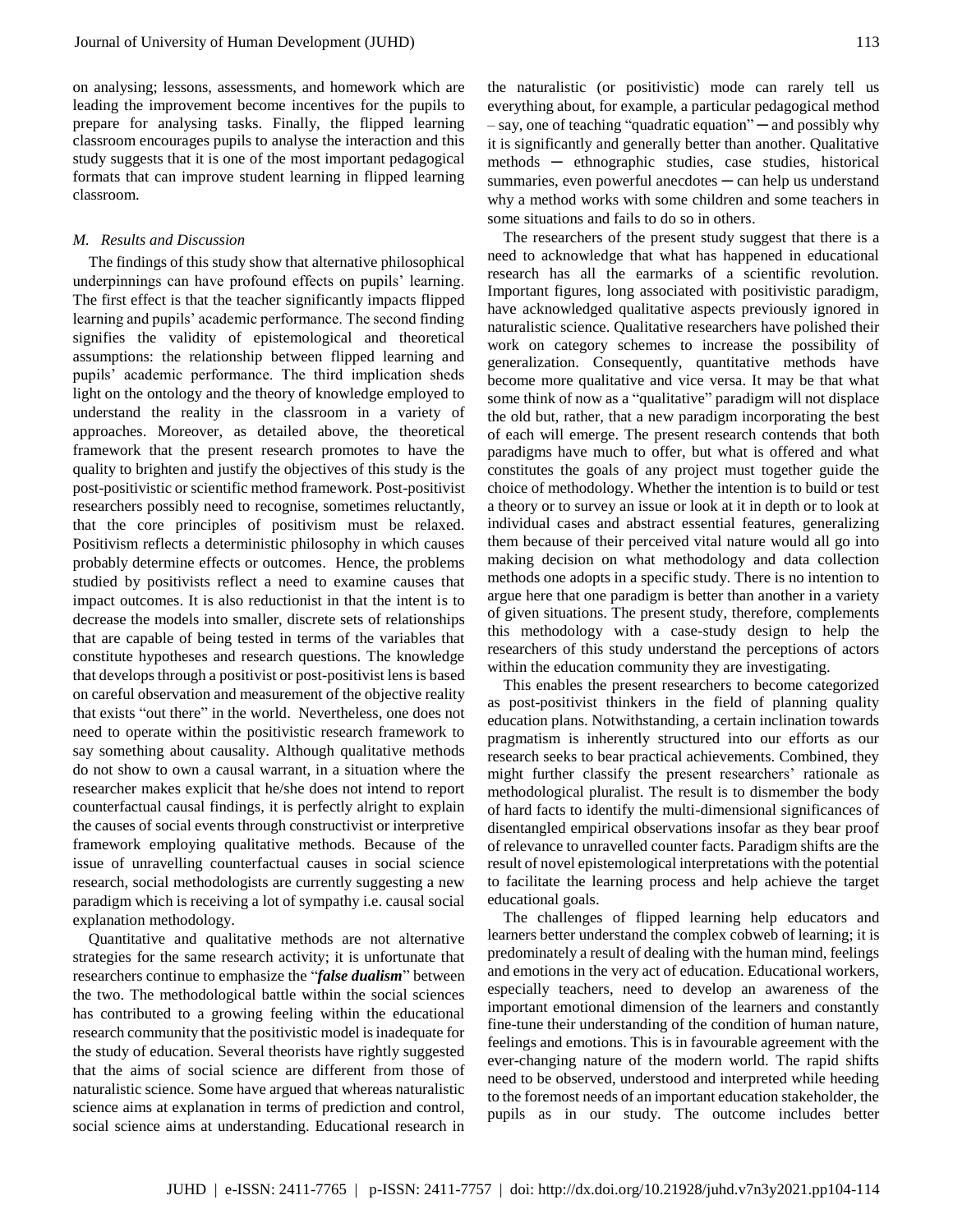on analysing; lessons, assessments, and homework which are leading the improvement become incentives for the pupils to prepare for analysing tasks. Finally, the flipped learning classroom encourages pupils to analyse the interaction and this study suggests that it is one of the most important pedagogical formats that can improve student learning in flipped learning classroom.

## *M. Results and Discussion*

The findings of this study show that alternative philosophical underpinnings can have profound effects on pupils' learning. The first effect is that the teacher significantly impacts flipped learning and pupils' academic performance. The second finding signifies the validity of epistemological and theoretical assumptions: the relationship between flipped learning and pupils' academic performance. The third implication sheds light on the ontology and the theory of knowledge employed to understand the reality in the classroom in a variety of approaches. Moreover, as detailed above, the theoretical framework that the present research promotes to have the quality to brighten and justify the objectives of this study is the post-positivistic or scientific method framework. Post-positivist researchers possibly need to recognise, sometimes reluctantly, that the core principles of positivism must be relaxed. Positivism reflects a deterministic philosophy in which causes probably determine effects or outcomes. Hence, the problems studied by positivists reflect a need to examine causes that impact outcomes. It is also reductionist in that the intent is to decrease the models into smaller, discrete sets of relationships that are capable of being tested in terms of the variables that constitute hypotheses and research questions. The knowledge that develops through a positivist or post-positivist lens is based on careful observation and measurement of the objective reality that exists "out there" in the world. Nevertheless, one does not need to operate within the positivistic research framework to say something about causality. Although qualitative methods do not show to own a causal warrant, in a situation where the researcher makes explicit that he/she does not intend to report counterfactual causal findings, it is perfectly alright to explain the causes of social events through constructivist or interpretive framework employing qualitative methods. Because of the issue of unravelling counterfactual causes in social science research, social methodologists are currently suggesting a new paradigm which is receiving a lot of sympathy i.e. causal social explanation methodology.

Quantitative and qualitative methods are not alternative strategies for the same research activity; it is unfortunate that researchers continue to emphasize the "*false dualism*" between the two. The methodological battle within the social sciences has contributed to a growing feeling within the educational research community that the positivistic model is inadequate for the study of education. Several theorists have rightly suggested that the aims of social science are different from those of naturalistic science. Some have argued that whereas naturalistic science aims at explanation in terms of prediction and control, social science aims at understanding. Educational research in

the naturalistic (or positivistic) mode can rarely tell us everything about, for example, a particular pedagogical method – say, one of teaching "quadratic equation" ─ and possibly why it is significantly and generally better than another. Qualitative methods ─ ethnographic studies, case studies, historical summaries, even powerful anecdotes  $-$  can help us understand why a method works with some children and some teachers in some situations and fails to do so in others.

The researchers of the present study suggest that there is a need to acknowledge that what has happened in educational research has all the earmarks of a scientific revolution. Important figures, long associated with positivistic paradigm, have acknowledged qualitative aspects previously ignored in naturalistic science. Qualitative researchers have polished their work on category schemes to increase the possibility of generalization. Consequently, quantitative methods have become more qualitative and vice versa. It may be that what some think of now as a "qualitative" paradigm will not displace the old but, rather, that a new paradigm incorporating the best of each will emerge. The present research contends that both paradigms have much to offer, but what is offered and what constitutes the goals of any project must together guide the choice of methodology. Whether the intention is to build or test a theory or to survey an issue or look at it in depth or to look at individual cases and abstract essential features, generalizing them because of their perceived vital nature would all go into making decision on what methodology and data collection methods one adopts in a specific study. There is no intention to argue here that one paradigm is better than another in a variety of given situations. The present study, therefore, complements this methodology with a case-study design to help the researchers of this study understand the perceptions of actors within the education community they are investigating.

This enables the present researchers to become categorized as post-positivist thinkers in the field of planning quality education plans. Notwithstanding, a certain inclination towards pragmatism is inherently structured into our efforts as our research seeks to bear practical achievements. Combined, they might further classify the present researchers' rationale as methodological pluralist. The result is to dismember the body of hard facts to identify the multi-dimensional significances of disentangled empirical observations insofar as they bear proof of relevance to unravelled counter facts. Paradigm shifts are the result of novel epistemological interpretations with the potential to facilitate the learning process and help achieve the target educational goals.

The challenges of flipped learning help educators and learners better understand the complex cobweb of learning; it is predominately a result of dealing with the human mind, feelings and emotions in the very act of education. Educational workers, especially teachers, need to develop an awareness of the important emotional dimension of the learners and constantly fine-tune their understanding of the condition of human nature, feelings and emotions. This is in favourable agreement with the ever-changing nature of the modern world. The rapid shifts need to be observed, understood and interpreted while heeding to the foremost needs of an important education stakeholder, the pupils as in our study. The outcome includes better